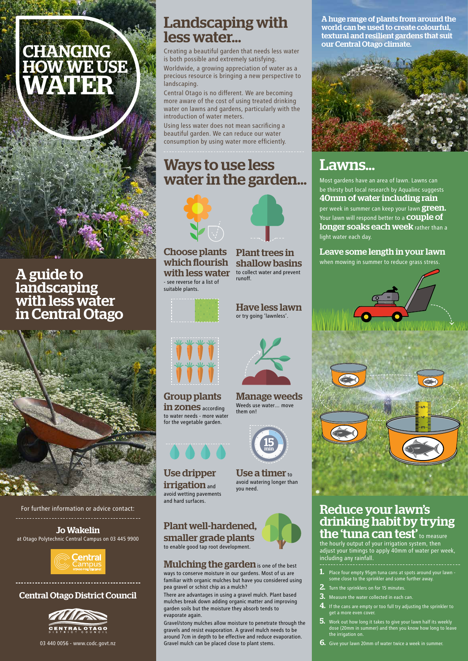### Central Otago District Council



03 440 0056 - www.codc.govt.nz

## Landscaping with less water...

Creating a beautiful garden that needs less water is both possible and extremely satisfying.

Worldwide, a growing appreciation of water as a precious resource is bringing a new perspective to landscaping.

# Ways to use less water in the garden...



Central Otago is no different. We are becoming more aware of the cost of using treated drinking water on lawns and gardens, particularly with the introduction of water meters.

Using less water does not mean sacrificing a beautiful garden. We can reduce our water consumption by using water more efficiently.

Plant trees in

shallow basins to collect water and prevent



runoff.

Choose plants which flourish with less water - see reverse for a list of suitable plants.



# Lawns...

### Reduce your lawn's drinking habit by trying the 'tuna can test' to measure the hourly output of your irrigation system, then

adjust your timings to apply 40mm of water per week, including any rainfall.

- 1. Place four empty 95gm tuna cans at spots around your lawn some close to the sprinkler and some further away.
- **2.** Turn the sprinklers on for 15 minutes.
- **3.** Measure the water collected in each can.
- 4. If the cans are empty or too full try adjusting the sprinkler to get a more even cover.
- 5. Work out how long it takes to give your lawn half its weekly dose (20mm in summer) and then you know how long to leave the irrigation on.
- **6.** Give your lawn 20mm of water twice a week in summer.

#### Jo Wakelin at Otago Polytechnic Central Campus on 03 445 9900



#### For further information or advice contact:

Use a timer  $_{\text{to}}$ avoid watering longer than you need.

Most gardens have an area of lawn. Lawns can be thirsty but local research by Aqualinc suggests 40mm of water including rain per week in summer can keep your lawn **green.** Your lawn will respond better to a **COUPle of** longer soaks each week rather than a light water each day.

### Leave some length in your lawn

when mowing in summer to reduce grass stress.



A huge range of plants from around the world can be used to create colourful, textural and resilient gardens that suit our Central Otago climate.



Group plants in zones according to water needs - more water for the vegetable garden.



### Plant well-hardened, smaller grade plants to enable good tap root development.

### **Mulching the garden** is one of the best

Manage weeds Weeds use water… move them on!



Have less lawn or try going 'lawnless'.

Use dripper **irrigation** and avoid wetting pavements



and hard surfaces.

ways to conserve moisture in our gardens. Most of us are familiar with organic mulches but have you considered using pea gravel or schist chip as a mulch?

There are advantages in using a gravel mulch. Plant based mulches break down adding organic matter and improving garden soils but the moisture they absorb tends to evaporate again.

Gravel/stony mulches allow moisture to penetrate through the gravels and resist evaporation. A gravel mulch needs to be around 7cm in depth to be effective and reduce evaporation. Gravel mulch can be placed close to plant stems.

A guide to landscaping with less water in Central Otago



# CHANGING HOW WE USE WATER